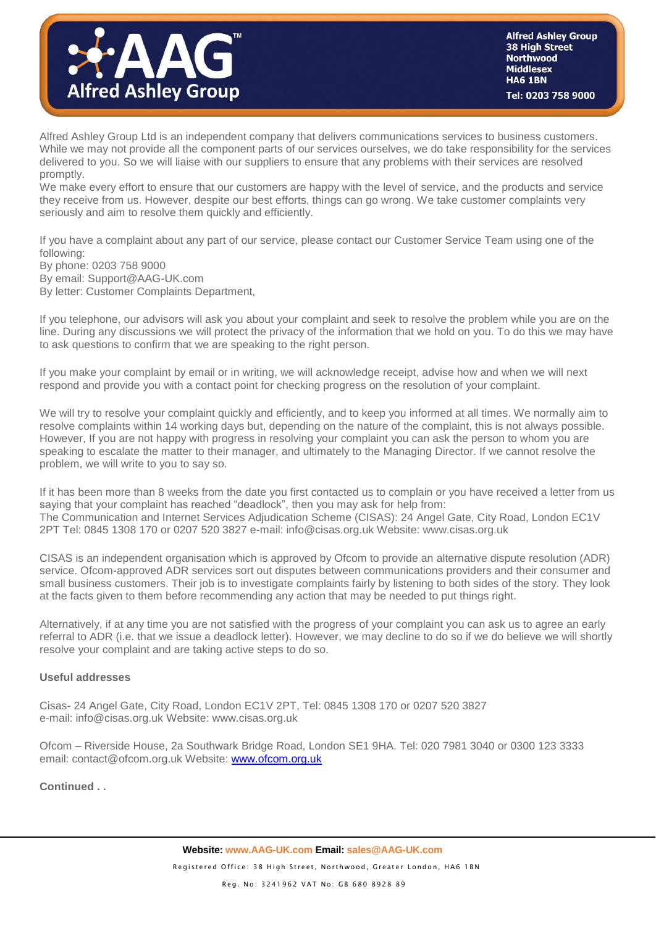

Alfred Ashley Group Ltd is an independent company that delivers communications services to business customers. While we may not provide all the component parts of our services ourselves, we do take responsibility for the services delivered to you. So we will liaise with our suppliers to ensure that any problems with their services are resolved promptly.

We make every effort to ensure that our customers are happy with the level of service, and the products and service they receive from us. However, despite our best efforts, things can go wrong. We take customer complaints very seriously and aim to resolve them quickly and efficiently.

If you have a complaint about any part of our service, please contact our Customer Service Team using one of the following:

By phone: 0203 758 9000 By email: Support@AAG-UK.com By letter: Customer Complaints Department,

If you telephone, our advisors will ask you about your complaint and seek to resolve the problem while you are on the line. During any discussions we will protect the privacy of the information that we hold on you. To do this we may have to ask questions to confirm that we are speaking to the right person.

If you make your complaint by email or in writing, we will acknowledge receipt, advise how and when we will next respond and provide you with a contact point for checking progress on the resolution of your complaint.

We will try to resolve your complaint quickly and efficiently, and to keep you informed at all times. We normally aim to resolve complaints within 14 working days but, depending on the nature of the complaint, this is not always possible. However, If you are not happy with progress in resolving your complaint you can ask the person to whom you are speaking to escalate the matter to their manager, and ultimately to the Managing Director. If we cannot resolve the problem, we will write to you to say so.

If it has been more than 8 weeks from the date you first contacted us to complain or you have received a letter from us saying that your complaint has reached "deadlock", then you may ask for help from: The Communication and Internet Services Adjudication Scheme (CISAS): 24 Angel Gate, City Road, London EC1V 2PT Tel: 0845 1308 170 or 0207 520 3827 e-mail: info@cisas.org.uk Website: www.cisas.org.uk

CISAS is an independent organisation which is approved by Ofcom to provide an alternative dispute resolution (ADR) service. Ofcom-approved ADR services sort out disputes between communications providers and their consumer and small business customers. Their job is to investigate complaints fairly by listening to both sides of the story. They look at the facts given to them before recommending any action that may be needed to put things right.

Alternatively, if at any time you are not satisfied with the progress of your complaint you can ask us to agree an early referral to ADR (i.e. that we issue a deadlock letter). However, we may decline to do so if we do believe we will shortly resolve your complaint and are taking active steps to do so.

## **Useful addresses**

Cisas- 24 Angel Gate, City Road, London EC1V 2PT, Tel: 0845 1308 170 or 0207 520 3827 e-mail: info@cisas.org.uk Website: www.cisas.org.uk

Ofcom – Riverside House, 2a Southwark Bridge Road, London SE1 9HA. Tel: 020 7981 3040 or 0300 123 3333 email: contact@ofcom.org.uk Website: [www.ofcom.org.uk](http://www.ofcom.org.uk/)

## **Continued . .**